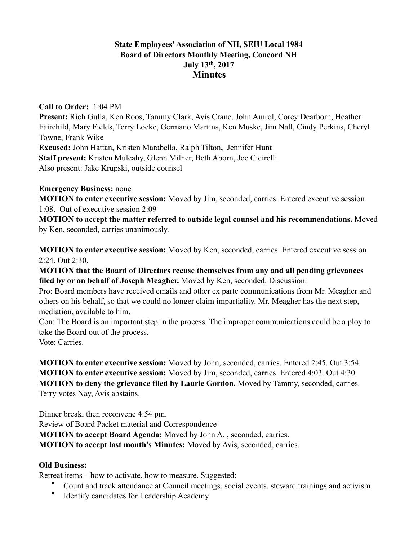## **State Employees' Association of NH, SEIU Local 1984 Board of Directors Monthly Meeting, Concord NH July 13th, 2017 Minutes**

#### **Call to Order:** 1:04 PM

**Present:** Rich Gulla, Ken Roos, Tammy Clark, Avis Crane, John Amrol, Corey Dearborn, Heather Fairchild, Mary Fields, Terry Locke, Germano Martins, Ken Muske, Jim Nall, Cindy Perkins, Cheryl Towne, Frank Wike **Excused:** John Hattan, Kristen Marabella, Ralph Tilton**,** Jennifer Hunt **Staff present:** Kristen Mulcahy, Glenn Milner, Beth Aborn, Joe Cicirelli Also present: Jake Krupski, outside counsel

#### **Emergency Business:** none

**MOTION to enter executive session:** Moved by Jim, seconded, carries. Entered executive session 1:08. Out of executive session 2:09

**MOTION to accept the matter referred to outside legal counsel and his recommendations.** Moved by Ken, seconded, carries unanimously.

**MOTION to enter executive session:** Moved by Ken, seconded, carries. Entered executive session 2:24. Out 2:30.

**MOTION that the Board of Directors recuse themselves from any and all pending grievances filed by or on behalf of Joseph Meagher.** Moved by Ken, seconded. Discussion:

Pro: Board members have received emails and other ex parte communications from Mr. Meagher and others on his behalf, so that we could no longer claim impartiality. Mr. Meagher has the next step, mediation, available to him.

Con: The Board is an important step in the process. The improper communications could be a ploy to take the Board out of the process.

Vote: Carries.

**MOTION to enter executive session:** Moved by John, seconded, carries. Entered 2:45. Out 3:54. **MOTION to enter executive session:** Moved by Jim, seconded, carries. Entered 4:03. Out 4:30. **MOTION to deny the grievance filed by Laurie Gordon.** Moved by Tammy, seconded, carries. Terry votes Nay, Avis abstains.

Dinner break, then reconvene 4:54 pm.

Review of Board Packet material and Correspondence

**MOTION to accept Board Agenda:** Moved by John A. , seconded, carries.

**MOTION to accept last month's Minutes:** Moved by Avis, seconded, carries.

### **Old Business:**

Retreat items – how to activate, how to measure. Suggested:

- Count and track attendance at Council meetings, social events, steward trainings and activism
- Identify candidates for Leadership Academy